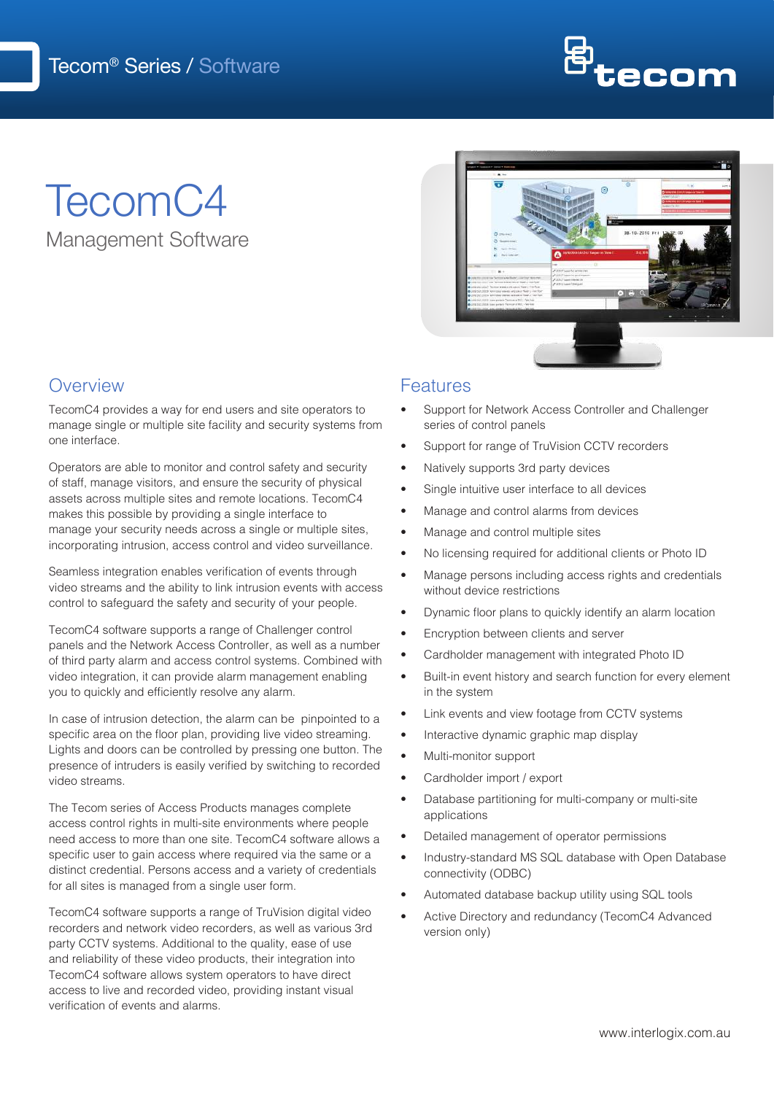

# TecomC4 Management Software



### **Overview**

TecomC4 provides a way for end users and site operators to manage single or multiple site facility and security systems from one interface.

Operators are able to monitor and control safety and security of staff, manage visitors, and ensure the security of physical assets across multiple sites and remote locations. TecomC4 makes this possible by providing a single interface to manage your security needs across a single or multiple sites, incorporating intrusion, access control and video surveillance.

Seamless integration enables verification of events through video streams and the ability to link intrusion events with access control to safeguard the safety and security of your people.

TecomC4 software supports a range of Challenger control panels and the Network Access Controller, as well as a number of third party alarm and access control systems. Combined with video integration, it can provide alarm management enabling you to quickly and efficiently resolve any alarm.

In case of intrusion detection, the alarm can be pinpointed to a specific area on the floor plan, providing live video streaming. Lights and doors can be controlled by pressing one button. The presence of intruders is easily verified by switching to recorded video streams.

The Tecom series of Access Products manages complete access control rights in multi-site environments where people need access to more than one site. TecomC4 software allows a specific user to gain access where required via the same or a distinct credential. Persons access and a variety of credentials for all sites is managed from a single user form.

TecomC4 software supports a range of TruVision digital video recorders and network video recorders, as well as various 3rd party CCTV systems. Additional to the quality, ease of use and reliability of these video products, their integration into TecomC4 software allows system operators to have direct access to live and recorded video, providing instant visual verification of events and alarms.

#### Features

- Support for Network Access Controller and Challenger series of control panels
- Support for range of TruVision CCTV recorders
- Natively supports 3rd party devices
- Single intuitive user interface to all devices
- Manage and control alarms from devices
- Manage and control multiple sites
- No licensing required for additional clients or Photo ID
- Manage persons including access rights and credentials without device restrictions
- Dynamic floor plans to quickly identify an alarm location
- Encryption between clients and server
- Cardholder management with integrated Photo ID
- Built-in event history and search function for every element in the system
- Link events and view footage from CCTV systems
- Interactive dynamic graphic map display
- Multi-monitor support
- Cardholder import / export
- Database partitioning for multi-company or multi-site applications
- Detailed management of operator permissions
- Industry-standard MS SQL database with Open Database connectivity (ODBC)
- Automated database backup utility using SQL tools
- Active Directory and redundancy (TecomC4 Advanced version only)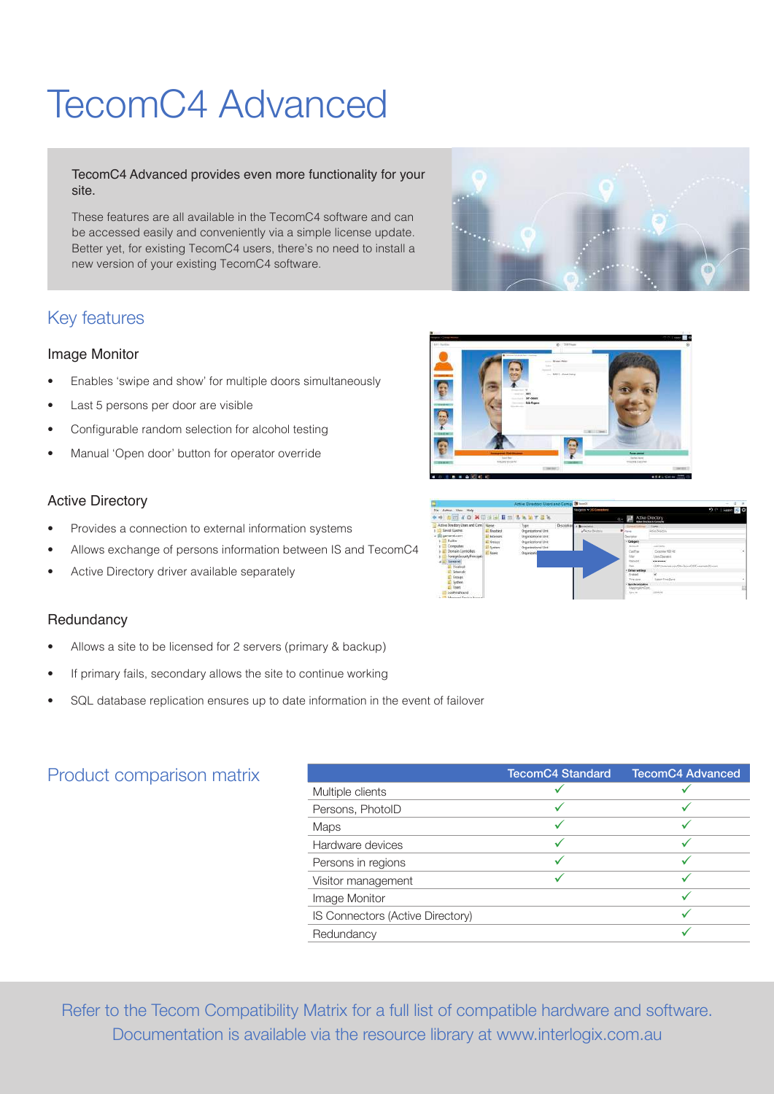# TecomC4 Advanced

TecomC4 Advanced provides even more functionality for your site.

These features are all available in the TecomC4 software and can be accessed easily and conveniently via a simple license update. Better yet, for existing TecomC4 users, there's no need to install a new version of your existing TecomC4 software.

#### Key features

#### Image Monitor

- Enables 'swipe and show' for multiple doors simultaneously
- Last 5 persons per door are visible
- Configurable random selection for alcohol testing
- Manual 'Open door' button for operator override

#### Active Directory

- Provides a connection to external information systems
- Allows exchange of persons information between IS and TecomC4
- Active Directory driver available separately

#### **Redundancy**

- Allows a site to be licensed for 2 servers (primary & backup)
- If primary fails, secondary allows the site to continue working
- SQL database replication ensures up to date information in the event of failover

#### Product comparison matrix

|                                  | <b>TecomC4 Standard</b> | <b>TecomC4 Advanced</b> |
|----------------------------------|-------------------------|-------------------------|
| Multiple clients                 |                         |                         |
| Persons, PhotoID                 |                         |                         |
| <b>Maps</b>                      | ✓                       |                         |
| Hardware devices                 |                         |                         |
| Persons in regions               |                         |                         |
| Visitor management               |                         |                         |
| Image Monitor                    |                         |                         |
| IS Connectors (Active Directory) |                         |                         |
| Redundancy                       |                         |                         |

Refer to the Tecom Compatibility Matrix for a full list of compatible hardware and software. Documentation is available via the resource library at www.interlogix.com.au